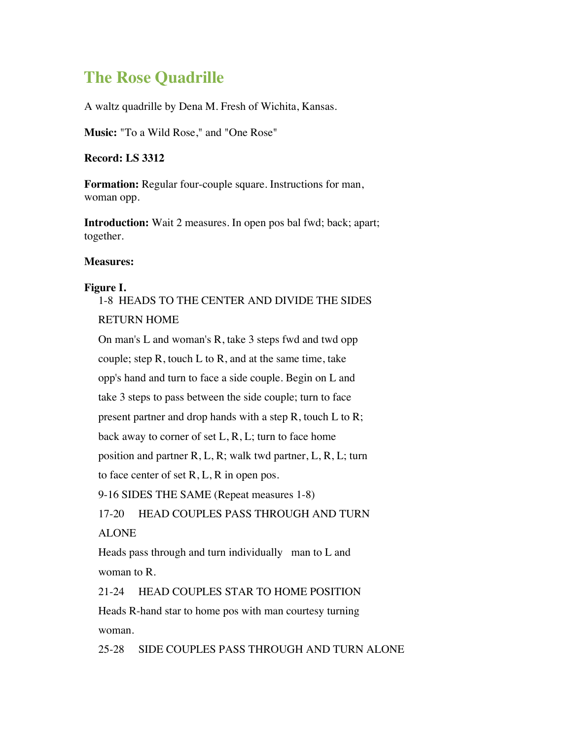# **The Rose Quadrille**

A waltz quadrille by Dena M. Fresh of Wichita, Kansas.

**Music:** "To a Wild Rose," and "One Rose"

**Record: LS 3312**

**Formation:** Regular four-couple square. Instructions for man, woman opp.

**Introduction:** Wait 2 measures. In open pos bal fwd; back; apart; together.

#### **Measures:**

#### **Figure I.**

## 1-8 HEADS TO THE CENTER AND DIVIDE THE SIDES RETURN HOME

On man's L and woman's R, take 3 steps fwd and twd opp couple; step  $R$ , touch  $L$  to  $R$ , and at the same time, take opp's hand and turn to face a side couple. Begin on L and take 3 steps to pass between the side couple; turn to face present partner and drop hands with a step R, touch L to R; back away to corner of set  $L, R, L$ ; turn to face home position and partner R, L, R; walk twd partner, L, R, L; turn to face center of set R, L, R in open pos. 9-16 SIDES THE SAME (Repeat measures 1-8) 17-20 HEAD COUPLES PASS THROUGH AND TURN ALONE

Heads pass through and turn individually man to L and woman to R.

21-24 HEAD COUPLES STAR TO HOME POSITION Heads R-hand star to home pos with man courtesy turning woman.

25-28 SIDE COUPLES PASS THROUGH AND TURN ALONE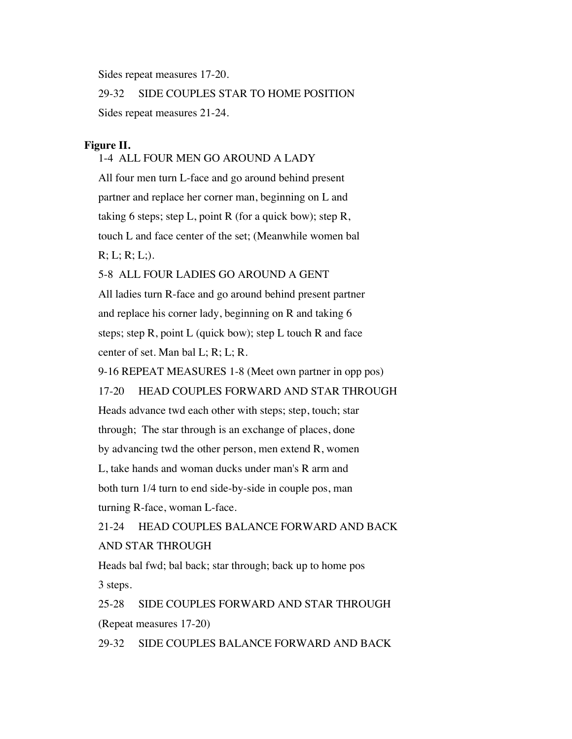Sides repeat measures 17-20.

29-32 SIDE COUPLES STAR TO HOME POSITION

Sides repeat measures 21-24.

#### **Figure II.**

#### 1-4 ALL FOUR MEN GO AROUND A LADY

All four men turn L-face and go around behind present partner and replace her corner man, beginning on L and taking 6 steps; step L, point R (for a quick bow); step R, touch L and face center of the set; (Meanwhile women bal  $R; L; R; L;$ 

#### 5-8 ALL FOUR LADIES GO AROUND A GENT

All ladies turn R-face and go around behind present partner and replace his corner lady, beginning on R and taking 6 steps; step R, point L (quick bow); step L touch R and face center of set. Man bal L; R; L; R.

9-16 REPEAT MEASURES 1-8 (Meet own partner in opp pos)

17-20 HEAD COUPLES FORWARD AND STAR THROUGH

Heads advance twd each other with steps; step, touch; star through; The star through is an exchange of places, done by advancing twd the other person, men extend R, women L, take hands and woman ducks under man's R arm and both turn 1/4 turn to end side-by-side in couple pos, man turning R-face, woman L-face.

21-24 HEAD COUPLES BALANCE FORWARD AND BACK AND STAR THROUGH

Heads bal fwd; bal back; star through; back up to home pos 3 steps.

25-28 SIDE COUPLES FORWARD AND STAR THROUGH (Repeat measures 17-20)

29-32 SIDE COUPLES BALANCE FORWARD AND BACK